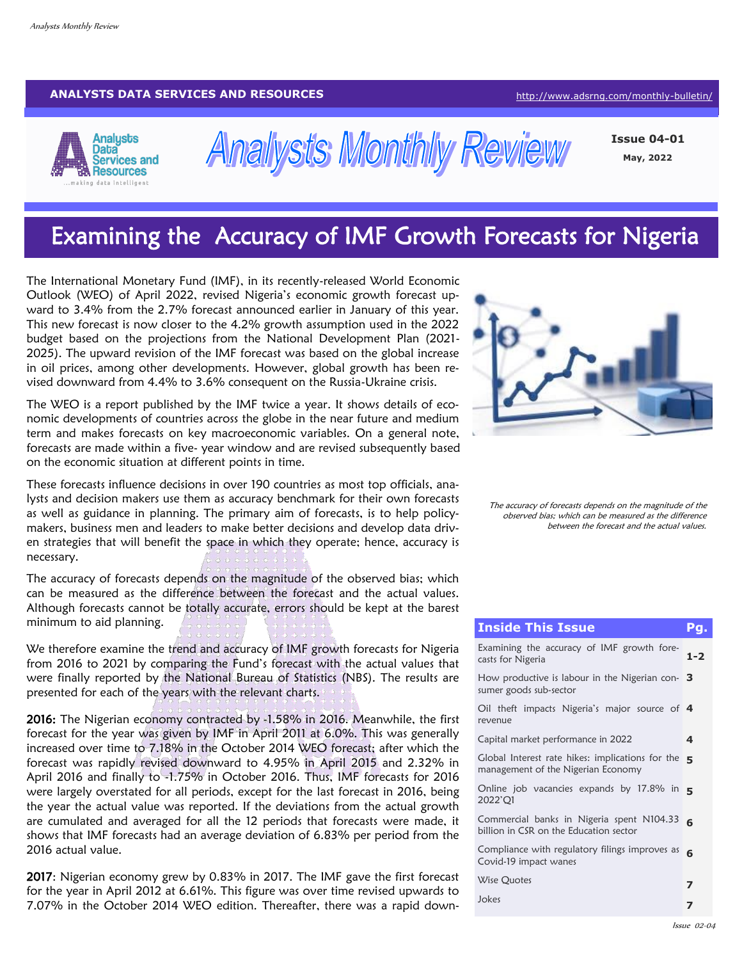#### **ANALYSTS DATA SERVICES AND RESOURCES [http://www.adsrng.com/monthly](http://adsrng.com/monthly-bulletin/)-bulletin/**



**Analysts Monthly Review** 

**Issue 04-01 May, 2022**

# Examining the Accuracy of IMF Growth Forecasts for Nigeria

The International Monetary Fund (IMF), in its recently-released World Economic Outlook (WEO) of April 2022, revised Nigeria's economic growth forecast upward to 3.4% from the 2.7% forecast announced earlier in January of this year. This new forecast is now closer to the 4.2% growth assumption used in the 2022 budget based on the projections from the National Development Plan (2021- 2025). The upward revision of the IMF forecast was based on the global increase in oil prices, among other developments. However, global growth has been revised downward from 4.4% to 3.6% consequent on the Russia-Ukraine crisis.

The WEO is a report published by the IMF twice a year. It shows details of economic developments of countries across the globe in the near future and medium term and makes forecasts on key macroeconomic variables. On a general note, forecasts are made within a five- year window and are revised subsequently based on the economic situation at different points in time.

These forecasts influence decisions in over 190 countries as most top officials, analysts and decision makers use them as accuracy benchmark for their own forecasts as well as guidance in planning. The primary aim of forecasts, is to help policymakers, business men and leaders to make better decisions and develop data driven strategies that will benefit the space in which they operate; hence, accuracy is necessary.

The accuracy of forecasts depends on the magnitude of the observed bias; which can be measured as the difference between the forecast and the actual values. Although forecasts cannot be totally accurate, errors should be kept at the barest minimum to aid planning.

We therefore examine the trend and accuracy of IMF growth forecasts for Nigeria from 2016 to 2021 by comparing the Fund's forecast with the actual values that were finally reported by the National Bureau of Statistics (NBS). The results are presented for each of the years with the relevant charts.

2016: The Nigerian economy contracted by -1.58% in 2016. Meanwhile, the first forecast for the year was given by IMF in April 2011 at 6.0%. This was generally increased over time to 7.18% in the October 2014 WEO forecast; after which the forecast was rapidly revised downward to 4.95% in April 2015 and 2.32% in April 2016 and finally to -1.75% in October 2016. Thus, IMF forecasts for 2016 were largely overstated for all periods, except for the last forecast in 2016, being the year the actual value was reported. If the deviations from the actual growth are cumulated and averaged for all the 12 periods that forecasts were made, it shows that IMF forecasts had an average deviation of 6.83% per period from the 2016 actual value.

2017: Nigerian economy grew by 0.83% in 2017. The IMF gave the first forecast for the year in April 2012 at 6.61%. This figure was over time revised upwards to 7.07% in the October 2014 WEO edition. Thereafter, there was a rapid down-



The accuracy of forecasts depends on the magnitude of the observed bias; which can be measured as the difference between the forecast and the actual values.

| Pg.                                                                                      | <b>Inside This Issue</b>                                                               |  |  |  |  |
|------------------------------------------------------------------------------------------|----------------------------------------------------------------------------------------|--|--|--|--|
| Examining the accuracy of IMF growth fore-<br>$1 - 2$                                    | casts for Nigeria                                                                      |  |  |  |  |
| How productive is labour in the Nigerian con- $\,$ 3 $\,$                                | sumer goods sub-sector                                                                 |  |  |  |  |
| Oil theft impacts Nigeria's major source of 4                                            | revenue                                                                                |  |  |  |  |
| 4                                                                                        | Capital market performance in 2022                                                     |  |  |  |  |
| 5                                                                                        | Global Interest rate hikes: implications for the<br>management of the Nigerian Economy |  |  |  |  |
| Online job vacancies expands by 17.8% in $\overline{\phantom{a}}$                        | 2022'Q1                                                                                |  |  |  |  |
| Commercial banks in Nigeria spent N104.33<br>6<br>billion in CSR on the Education sector |                                                                                        |  |  |  |  |
| Compliance with regulatory filings improves as<br>6                                      | Covid-19 impact wanes                                                                  |  |  |  |  |
| 7                                                                                        | Wise Quotes                                                                            |  |  |  |  |
| 7                                                                                        | Jokes                                                                                  |  |  |  |  |
|                                                                                          |                                                                                        |  |  |  |  |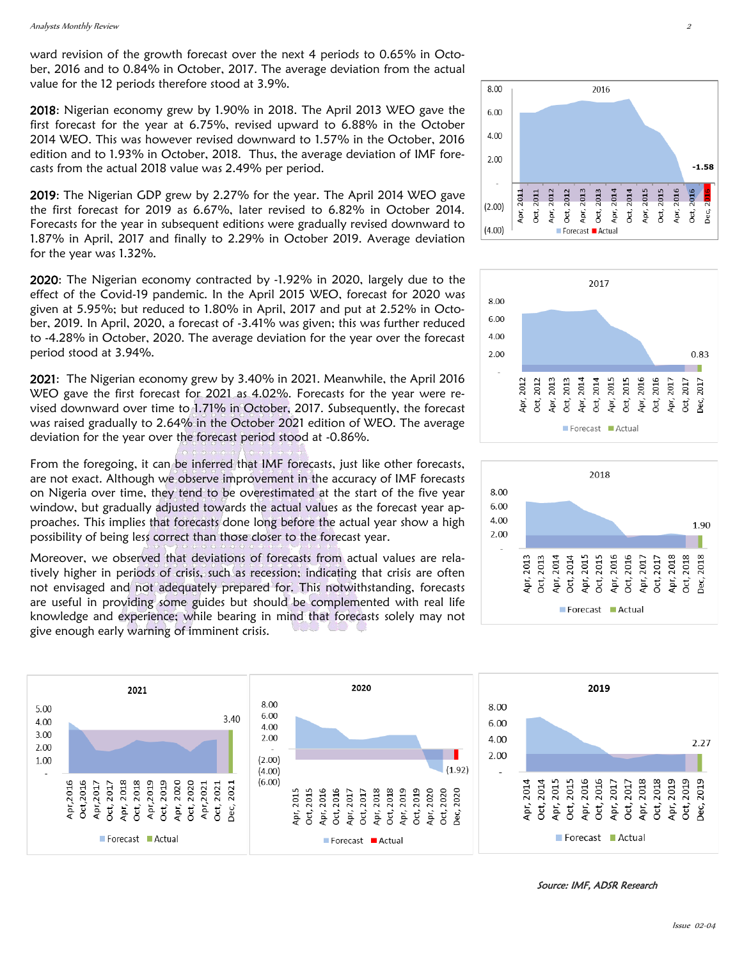ward revision of the growth forecast over the next 4 periods to 0.65% in October, 2016 and to 0.84% in October, 2017. The average deviation from the actual value for the 12 periods therefore stood at 3.9%.

2018: Nigerian economy grew by 1.90% in 2018. The April 2013 WEO gave the first forecast for the year at 6.75%, revised upward to 6.88% in the October 2014 WEO. This was however revised downward to 1.57% in the October, 2016 edition and to 1.93% in October, 2018. Thus, the average deviation of IMF forecasts from the actual 2018 value was 2.49% per period.

2019: The Nigerian GDP grew by 2.27% for the year. The April 2014 WEO gave the first forecast for 2019 as 6.67%, later revised to 6.82% in October 2014. Forecasts for the year in subsequent editions were gradually revised downward to 1.87% in April, 2017 and finally to 2.29% in October 2019. Average deviation for the year was 1.32%.

2020: The Nigerian economy contracted by -1.92% in 2020, largely due to the effect of the Covid-19 pandemic. In the April 2015 WEO, forecast for 2020 was given at 5.95%; but reduced to 1.80% in April, 2017 and put at 2.52% in October, 2019. In April, 2020, a forecast of -3.41% was given; this was further reduced to -4.28% in October, 2020. The average deviation for the year over the forecast period stood at 3.94%.

2021: The Nigerian economy grew by 3.40% in 2021. Meanwhile, the April 2016 WEO gave the first forecast for 2021 as 4.02%. Forecasts for the year were revised downward over time to 1.71% in October, 2017. Subsequently, the forecast was raised gradually to 2.64% in the October 2021 edition of WEO. The average deviation for the year over the forecast period stood at -0.86%.

From the foregoing, it can be inferred that IMF forecasts, just like other forecasts, are not exact. Although we observe improvement in the accuracy of IMF forecasts on Nigeria over time, they tend to be overestimated at the start of the five year window, but gradually adjusted towards the actual values as the forecast year approaches. This implies that forecasts done long before the actual year show a high possibility of being less correct than those closer to the forecast year.

Moreover, we observed that deviations of forecasts from actual values are relatively higher in periods of crisis, such as recession; indicating that crisis are often not envisaged and not adequately prepared for. This notwithstanding, forecasts are useful in providing some guides but should be complemented with real life knowledge and experience; while bearing in mind that forecasts solely may not give enough early warning of imminent crisis.









Source: IMF, ADSR Research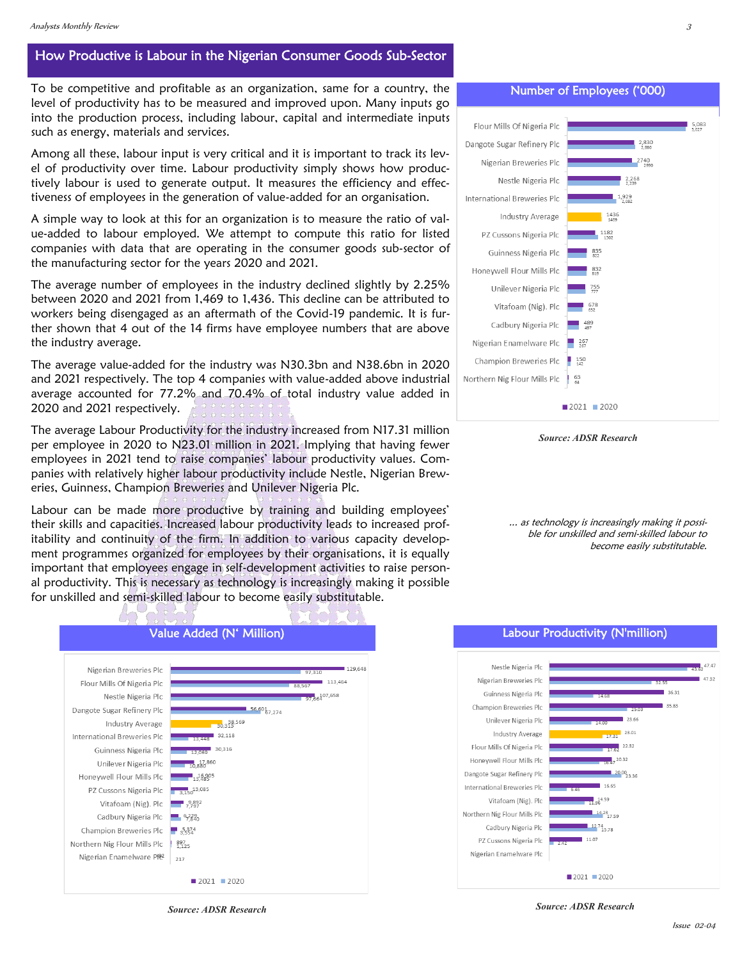### How Productive is Labour in the Nigerian Consumer Goods Sub-Sector

To be competitive and profitable as an organization, same for a country, the level of productivity has to be measured and improved upon. Many inputs go into the production process, including labour, capital and intermediate inputs such as energy, materials and services.

Among all these, labour input is very critical and it is important to track its level of productivity over time. Labour productivity simply shows how productively labour is used to generate output. It measures the efficiency and effectiveness of employees in the generation of value-added for an organisation.

A simple way to look at this for an organization is to measure the ratio of value-added to labour employed. We attempt to compute this ratio for listed companies with data that are operating in the consumer goods sub-sector of the manufacturing sector for the years 2020 and 2021.

The average number of employees in the industry declined slightly by 2.25% between 2020 and 2021 from 1,469 to 1,436. This decline can be attributed to workers being disengaged as an aftermath of the Covid-19 pandemic. It is further shown that 4 out of the 14 firms have employee numbers that are above the industry average.

The average value-added for the industry was N30.3bn and N38.6bn in 2020 and 2021 respectively. The top 4 companies with value-added above industrial average accounted for 77.2% and 70.4% of total industry value added in 2020 and 2021 respectively.

The average Labour Productivity for the industry increased from N17.31 million per employee in 2020 to N23.01 million in 2021. Implying that having fewer employees in 2021 tend to raise companies' labour productivity values. Companies with relatively higher labour productivity include Nestle, Nigerian Breweries, Guinness, Champion Breweries and Unilever Nigeria Plc.

Labour can be made more productive by training and building employees' their skills and capacities. Increased labour productivity leads to increased profitability and continuity of the firm. In addition to various capacity development programmes organized for employees by their organisations, it is equally important that employees engage in self-development activities to raise personal productivity. This is necessary as technology is increasingly making it possible for unskilled and semi-skilled labour to become easily substitutable.



Number of Employees ('000)



*Source: ADSR Research*

... as technology is increasingly making it possible for unskilled and semi-skilled labour to become easily substitutable.





*Source: ADSR Research*

*Source: ADSR Research*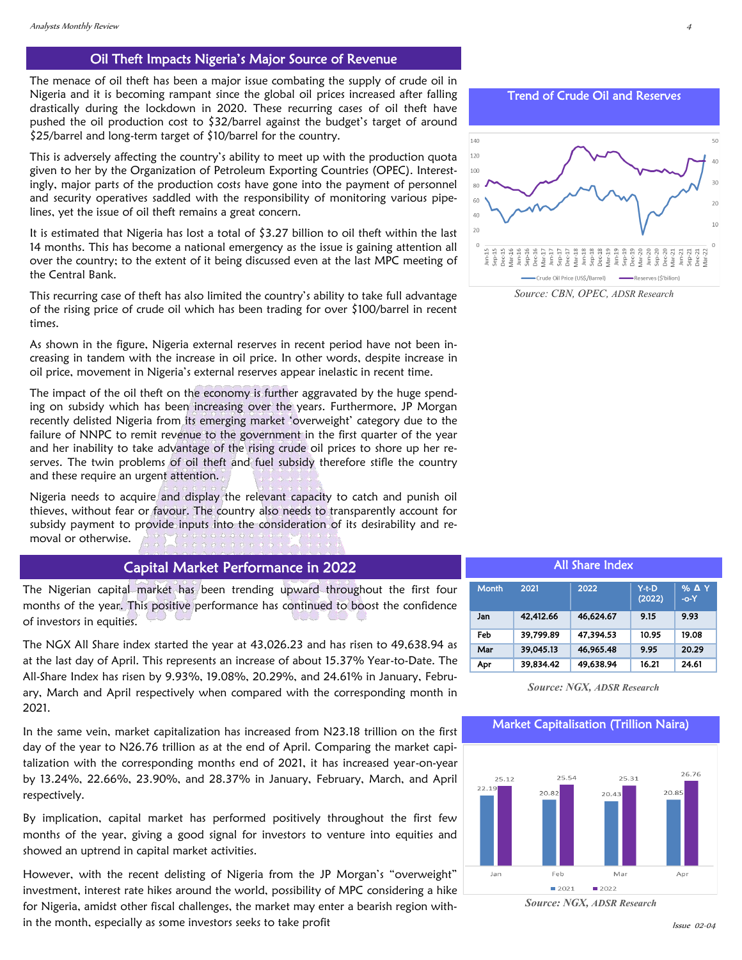#### Oil Theft Impacts Nigeria's Major Source of Revenue

The menace of oil theft has been a major issue combating the supply of crude oil in Nigeria and it is becoming rampant since the global oil prices increased after falling drastically during the lockdown in 2020. These recurring cases of oil theft have pushed the oil production cost to \$32/barrel against the budget's target of around \$25/barrel and long-term target of \$10/barrel for the country.

This is adversely affecting the country's ability to meet up with the production quota given to her by the Organization of Petroleum Exporting Countries (OPEC). Interestingly, major parts of the production costs have gone into the payment of personnel and security operatives saddled with the responsibility of monitoring various pipelines, yet the issue of oil theft remains a great concern.

It is estimated that Nigeria has lost a total of \$3.27 billion to oil theft within the last 14 months. This has become a national emergency as the issue is gaining attention all over the country; to the extent of it being discussed even at the last MPC meeting of the Central Bank.

This recurring case of theft has also limited the country's ability to take full advantage of the rising price of crude oil which has been trading for over \$100/barrel in recent times.

As shown in the figure, Nigeria external reserves in recent period have not been increasing in tandem with the increase in oil price. In other words, despite increase in oil price, movement in Nigeria's external reserves appear inelastic in recent time.

The impact of the oil theft on the economy is further aggravated by the huge spending on subsidy which has been increasing over the years. Furthermore, JP Morgan recently delisted Nigeria from its emerging market 'overweight' category due to the failure of NNPC to remit revenue to the government in the first quarter of the year and her inability to take advantage of the rising crude oil prices to shore up her reserves. The twin problems of oil theft and fuel subsidy therefore stifle the country and these require an urgent attention.

Nigeria needs to acquire and display the relevant capacity to catch and punish oil thieves, without fear or favour. The country also needs to transparently account for subsidy payment to provide inputs into the consideration of its desirability and removal or otherwise.

### Capital Market Performance in 2022

The Nigerian capital market has been trending upward throughout the first four months of the year. This positive performance has continued to boost the confidence of investors in equities.

The NGX All Share index started the year at 43,026.23 and has risen to 49,638.94 as at the last day of April. This represents an increase of about 15.37% Year-to-Date. The All-Share Index has risen by 9.93%, 19.08%, 20.29%, and 24.61% in January, February, March and April respectively when compared with the corresponding month in 2021.

In the same vein, market capitalization has increased from N23.18 trillion on the first day of the year to N26.76 trillion as at the end of April. Comparing the market capitalization with the corresponding months end of 2021, it has increased year-on-year by 13.24%, 22.66%, 23.90%, and 28.37% in January, February, March, and April respectively.

By implication, capital market has performed positively throughout the first few months of the year, giving a good signal for investors to venture into equities and showed an uptrend in capital market activities.

However, with the recent delisting of Nigeria from the JP Morgan's "overweight" investment, interest rate hikes around the world, possibility of MPC considering a hike for Nigeria, amidst other fiscal challenges, the market may enter a bearish region within the month, especially as some investors seeks to take profit

Trend of Crude Oil and Reserves



*Source: CBN, OPEC, ADSR Research* 

|  | <b>All Share Index</b> |           |           |                   |                        |  |  |  |  |
|--|------------------------|-----------|-----------|-------------------|------------------------|--|--|--|--|
|  |                        |           |           |                   |                        |  |  |  |  |
|  | <b>Month</b>           | 2021      | 2022      | $Y-t-D$<br>(2022) | <b>% A Y</b><br>$-O-2$ |  |  |  |  |
|  | Jan                    | 42,412.66 | 46,624.67 | 9.15              | 9.93                   |  |  |  |  |
|  | Feb                    | 39,799.89 | 47,394.53 | 10.95             | 19.08                  |  |  |  |  |
|  | Mar                    | 39,045.13 | 46,965.48 | 9.95              | 20.29                  |  |  |  |  |
|  | Apr                    | 39.834.42 | 49,638.94 | 16.21             | 24.61                  |  |  |  |  |

*Source: NGX, ADSR Research* 

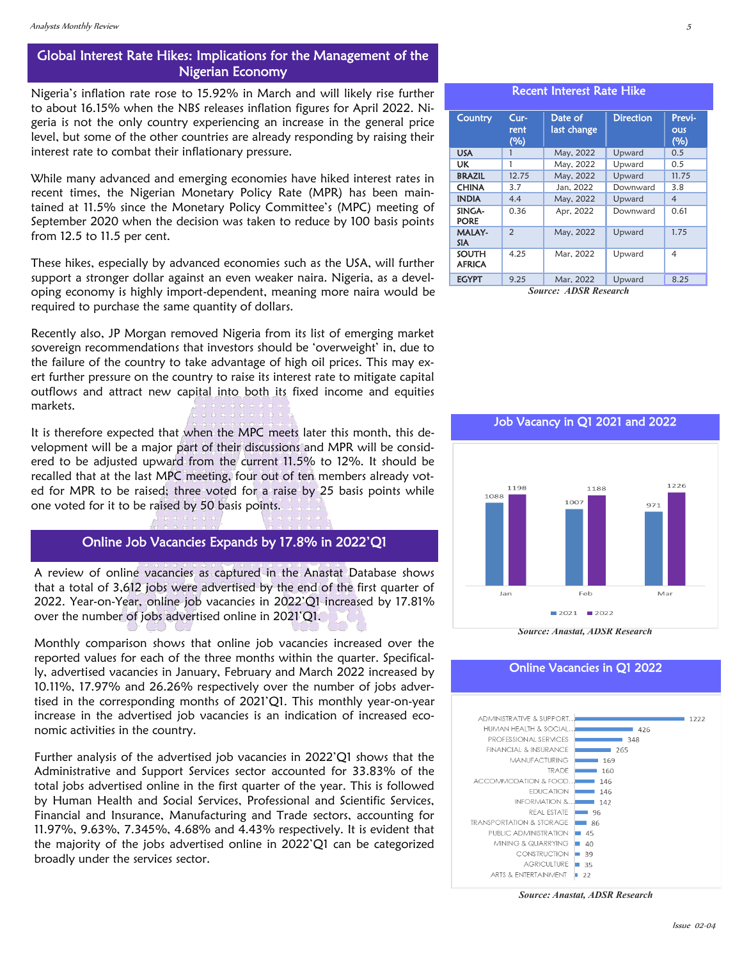## Global Interest Rate Hikes: Implications for the Management of the Nigerian Economy

Nigeria's inflation rate rose to 15.92% in March and will likely rise further to about 16.15% when the NBS releases inflation figures for April 2022. Nigeria is not the only country experiencing an increase in the general price level, but some of the other countries are already responding by raising their interest rate to combat their inflationary pressure.

While many advanced and emerging economies have hiked interest rates in recent times, the Nigerian Monetary Policy Rate (MPR) has been maintained at 11.5% since the Monetary Policy Committee's (MPC) meeting of September 2020 when the decision was taken to reduce by 100 basis points from 12.5 to 11.5 per cent.

These hikes, especially by advanced economies such as the USA, will further support a stronger dollar against an even weaker naira. Nigeria, as a developing economy is highly import-dependent, meaning more naira would be required to purchase the same quantity of dollars.

Recently also, JP Morgan removed Nigeria from its list of emerging market sovereign recommendations that investors should be 'overweight' in, due to the failure of the country to take advantage of high oil prices. This may exert further pressure on the country to raise its interest rate to mitigate capital outflows and attract new capital into both its fixed income and equities markets.

It is therefore expected that when the MPC meets later this month, this development will be a major part of their discussions and MPR will be considered to be adjusted upward from the current 11.5% to 12%. It should be recalled that at the last MPC meeting, four out of ten members already voted for MPR to be raised; three voted for a raise by 25 basis points while one voted for it to be raised by 50 basis points.

## Online Job Vacancies Expands by 17.8% in 2022'Q1

A review of online vacancies as captured in the Anastat Database shows that a total of 3,612 jobs were advertised by the end of the first quarter of 2022. Year-on-Year, online job vacancies in 2022'Q1 increased by 17.81% over the number of jobs advertised online in 2021'Q1.

Monthly comparison shows that online job vacancies increased over the reported values for each of the three months within the quarter. Specifically, advertised vacancies in January, February and March 2022 increased by 10.11%, 17.97% and 26.26% respectively over the number of jobs advertised in the corresponding months of 2021'Q1. This monthly year-on-year increase in the advertised job vacancies is an indication of increased economic activities in the country.

Further analysis of the advertised job vacancies in 2022'Q1 shows that the Administrative and Support Services sector accounted for 33.83% of the total jobs advertised online in the first quarter of the year. This is followed by Human Health and Social Services, Professional and Scientific Services, Financial and Insurance, Manufacturing and Trade sectors, accounting for 11.97%, 9.63%, 7.345%, 4.68% and 4.43% respectively. It is evident that the majority of the jobs advertised online in 2022'Q1 can be categorized broadly under the services sector.

#### Recent Interest Rate Hike

| Country                       | $Cur-$<br>rent<br>(%) | Date of<br>last change | <b>Direction</b> | Previ-<br>ous<br>(%) |
|-------------------------------|-----------------------|------------------------|------------------|----------------------|
| <b>USA</b>                    |                       | May, 2022              | Upward           | 0.5                  |
| UK                            | 1                     | May, 2022              | Upward           | 0.5                  |
| <b>BRAZIL</b>                 | 12.75                 | May, 2022              | Upward           | 11.75                |
| <b>CHINA</b>                  | 3.7                   | Jan. 2022              | Downward         | 3.8                  |
| <b>INDIA</b>                  | 4.4                   | May, 2022              | Upward           | $\overline{4}$       |
| SINGA-<br><b>PORE</b>         | 0.36                  | Apr, 2022              | Downward         | 0.61                 |
| <b>MALAY-</b><br><b>SIA</b>   | $\mathcal{P}$         | May, 2022              | Upward           | 1.75                 |
| <b>SOUTH</b><br><b>AFRICA</b> | 4.25                  | Mar. 2022              | Upward           | 4                    |
| <b>EGYPT</b>                  | 9.25                  | Mar, 2022              | Upward           | 8.25                 |

*Source: ADSR Research*



*Source: Anastat, ADSR Research*



*Source: Anastat, ADSR Research*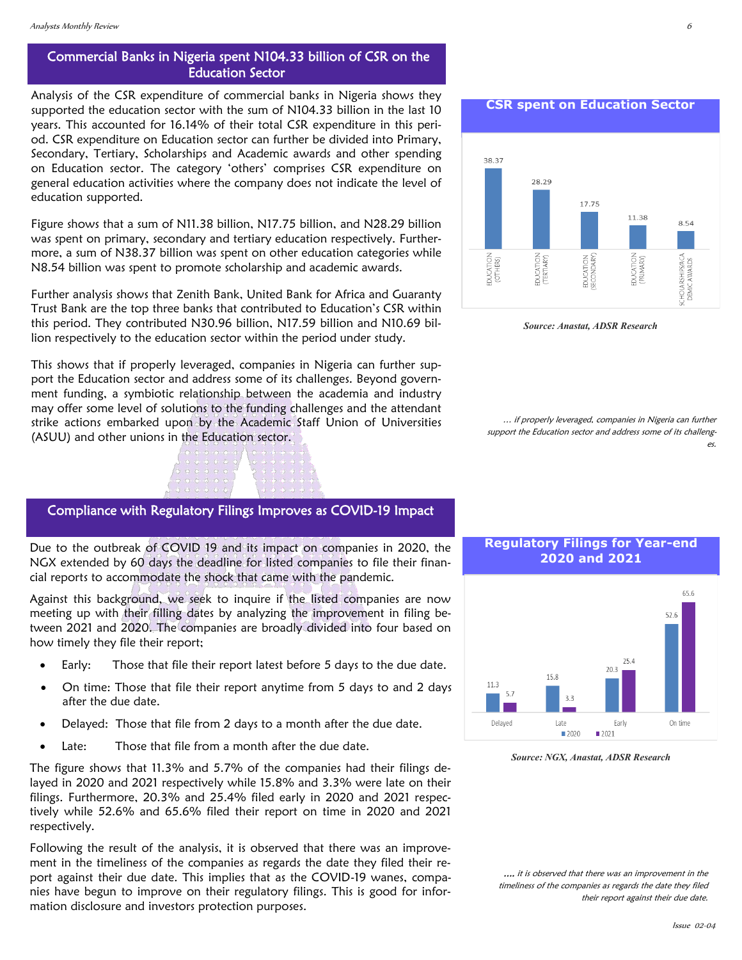## Commercial Banks in Nigeria spent N104.33 billion of CSR on the Education Sector

Analysis of the CSR expenditure of commercial banks in Nigeria shows they supported the education sector with the sum of N104.33 billion in the last 10 years. This accounted for 16.14% of their total CSR expenditure in this period. CSR expenditure on Education sector can further be divided into Primary, Secondary, Tertiary, Scholarships and Academic awards and other spending on Education sector. The category 'others' comprises CSR expenditure on general education activities where the company does not indicate the level of education supported.

Figure shows that a sum of N11.38 billion, N17.75 billion, and N28.29 billion was spent on primary, secondary and tertiary education respectively. Furthermore, a sum of N38.37 billion was spent on other education categories while N8.54 billion was spent to promote scholarship and academic awards.

Further analysis shows that Zenith Bank, United Bank for Africa and Guaranty Trust Bank are the top three banks that contributed to Education's CSR within this period. They contributed N30.96 billion, N17.59 billion and N10.69 billion respectively to the education sector within the period under study.

This shows that if properly leveraged, companies in Nigeria can further support the Education sector and address some of its challenges. Beyond government funding, a symbiotic relationship between the academia and industry may offer some level of solutions to the funding challenges and the attendant strike actions embarked upon by the Academic Staff Union of Universities (ASUU) and other unions in the Education sector.



Due to the outbreak of COVID 19 and its impact on companies in 2020, the NGX extended by 60 days the deadline for listed companies to file their financial reports to accommodate the shock that came with the pandemic.

Against this background, we seek to inquire if the listed companies are now meeting up with their filling dates by analyzing the improvement in filing between 2021 and 2020. The companies are broadly divided into four based on how timely they file their report;

- Early: Those that file their report latest before 5 days to the due date.
- On time: Those that file their report anytime from 5 days to and 2 days after the due date.
- Delayed: Those that file from 2 days to a month after the due date.
- Late: Those that file from a month after the due date.

The figure shows that 11.3% and 5.7% of the companies had their filings delayed in 2020 and 2021 respectively while 15.8% and 3.3% were late on their filings. Furthermore, 20.3% and 25.4% filed early in 2020 and 2021 respectively while 52.6% and 65.6% filed their report on time in 2020 and 2021 respectively.

Following the result of the analysis, it is observed that there was an improvement in the timeliness of the companies as regards the date they filed their report against their due date. This implies that as the COVID-19 wanes, companies have begun to improve on their regulatory filings. This is good for information disclosure and investors protection purposes.

**CSR spent on Education Sector**



*Source: Anastat, ADSR Research*

… if properly leveraged, companies in Nigeria can further support the Education sector and address some of its challenges.





*Source: NGX, Anastat, ADSR Research*

.... it is observed that there was an improvement in the timeliness of the companies as regards the date they filed their report against their due date.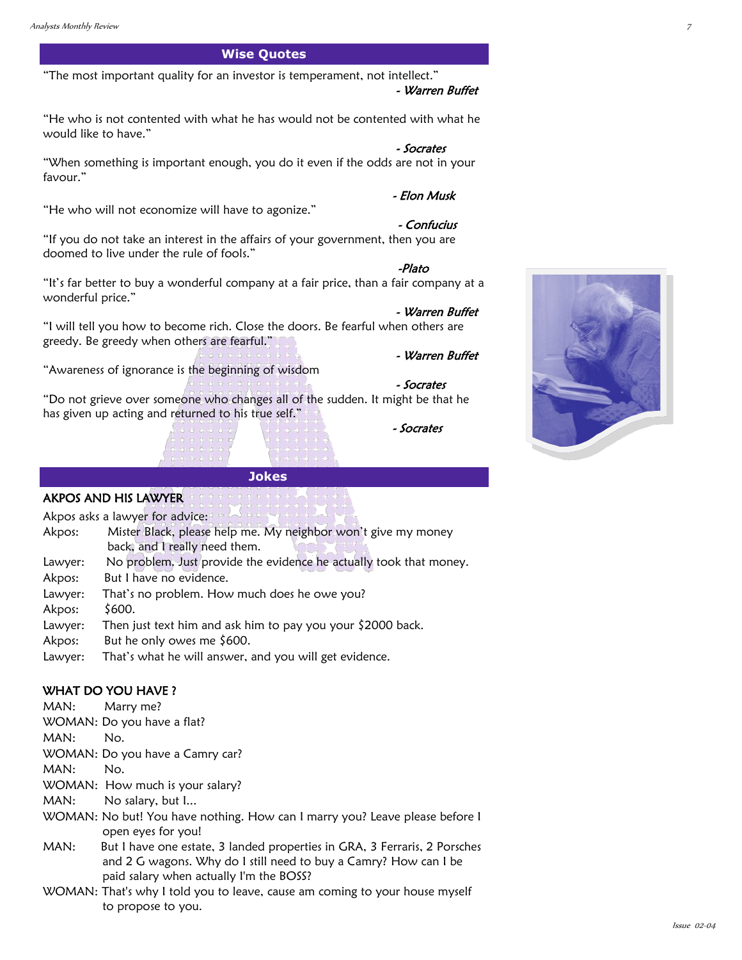## **Wise Quotes**

"The most important quality for an investor is temperament, not intellect."

#### - Warren Buffet

"He who is not contented with what he has would not be contented with what he would like to have."

"When something is important enough, you do it even if the odds are not in your favour."

"He who will not economize will have to agonize."

#### - Confucius

- Warren Buffet

- Warren Buffet

-Plato

- Elon Musk

- Socrates

"If you do not take an interest in the affairs of your government, then you are doomed to live under the rule of fools."

"It's far better to buy a wonderful company at a fair price, than a fair company at a wonderful price."

"I will tell you how to become rich. Close the doors. Be fearful when others are greedy. Be greedy when others are fearful."

"Awareness of ignorance is the beginning of wisdom

"Do not grieve over someone who changes all of the sudden. It might be that he has given up acting and returned to his true self."

 **Jokes**

- Socrates

- Socrates



Akpos asks a lawyer for advice:

- Akpos: Mister Black, please help me. My neighbor won't give my money back, and I really need them. Lawyer: No problem. Just provide the evidence he actually took that money. Akpos: But I have no evidence. Lawyer: That's no problem. How much does he owe you? Akpos: \$600. Lawyer: Then just text him and ask him to pay you your \$2000 back.
- Akpos: But he only owes me \$600.
- Lawyer: That's what he will answer, and you will get evidence.

#### WHAT DO YOU HAVE ?

MAN: Marry me?

WOMAN: Do you have a flat?

MAN: No.

WOMAN: Do you have a Camry car?

MAN: No.

- WOMAN: How much is your salary?
- MAN: No salary, but I...
- WOMAN: No but! You have nothing. How can I marry you? Leave please before I open eyes for you!
- MAN: But I have one estate, 3 landed properties in GRA, 3 Ferraris, 2 Porsches and 2 G wagons. Why do I still need to buy a Camry? How can I be paid salary when actually I'm the BOSS?
- WOMAN: That's why I told you to leave, cause am coming to your house myself to propose to you.